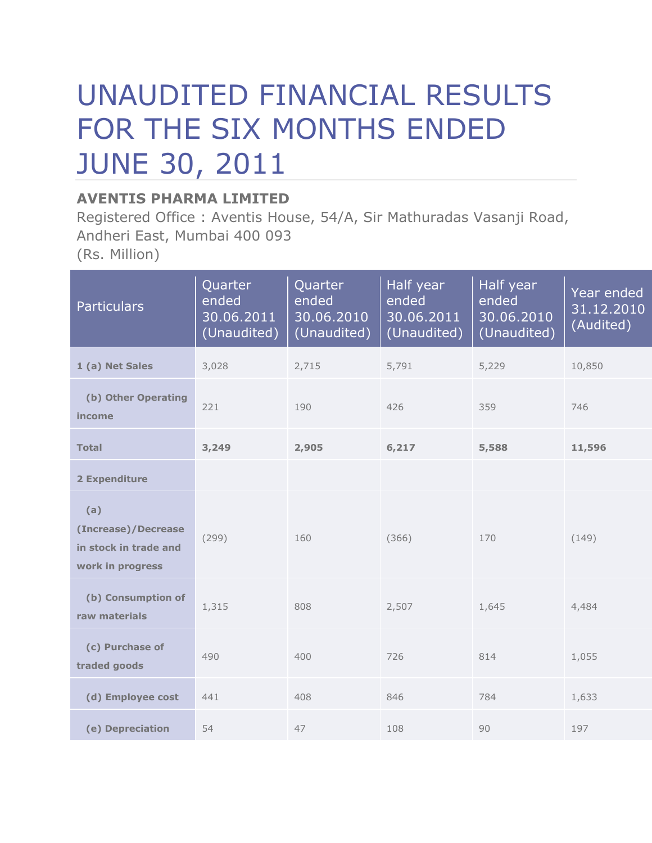# UNAUDITED FINANCIAL RESULTS FOR THE SIX MONTHS ENDED JUNE 30, 2011

### **AVENTIS PHARMA LIMITED**

Registered Office : Aventis House, 54/A, Sir Mathuradas Vasanji Road, Andheri East, Mumbai 400 093 (Rs. Million)

| <b>Particulars</b>                                                      | Quarter<br>ended<br>30.06.2011<br>(Unaudited) | Quarter<br>ended<br>30.06.2010<br>(Unaudited) | Half year<br>ended<br>30.06.2011<br>(Unaudited) | Half year<br>ended<br>30.06.2010<br>(Unaudited) | Year ended<br>31.12.2010<br>(Audited) |
|-------------------------------------------------------------------------|-----------------------------------------------|-----------------------------------------------|-------------------------------------------------|-------------------------------------------------|---------------------------------------|
| 1 (a) Net Sales                                                         | 3,028                                         | 2,715                                         | 5,791                                           | 5,229                                           | 10,850                                |
| (b) Other Operating<br>income                                           | 221                                           | 190                                           | 426                                             | 359                                             | 746                                   |
| <b>Total</b>                                                            | 3,249                                         | 2,905                                         | 6,217                                           | 5,588                                           | 11,596                                |
| 2 Expenditure                                                           |                                               |                                               |                                                 |                                                 |                                       |
| (a)<br>(Increase)/Decrease<br>in stock in trade and<br>work in progress | (299)                                         | 160                                           | (366)                                           | 170                                             | (149)                                 |
| (b) Consumption of<br>raw materials                                     | 1,315                                         | 808                                           | 2,507                                           | 1,645                                           | 4,484                                 |
| (c) Purchase of<br>traded goods                                         | 490                                           | 400                                           | 726                                             | 814                                             | 1,055                                 |
| (d) Employee cost                                                       | 441                                           | 408                                           | 846                                             | 784                                             | 1,633                                 |
| (e) Depreciation                                                        | 54                                            | 47                                            | 108                                             | 90                                              | 197                                   |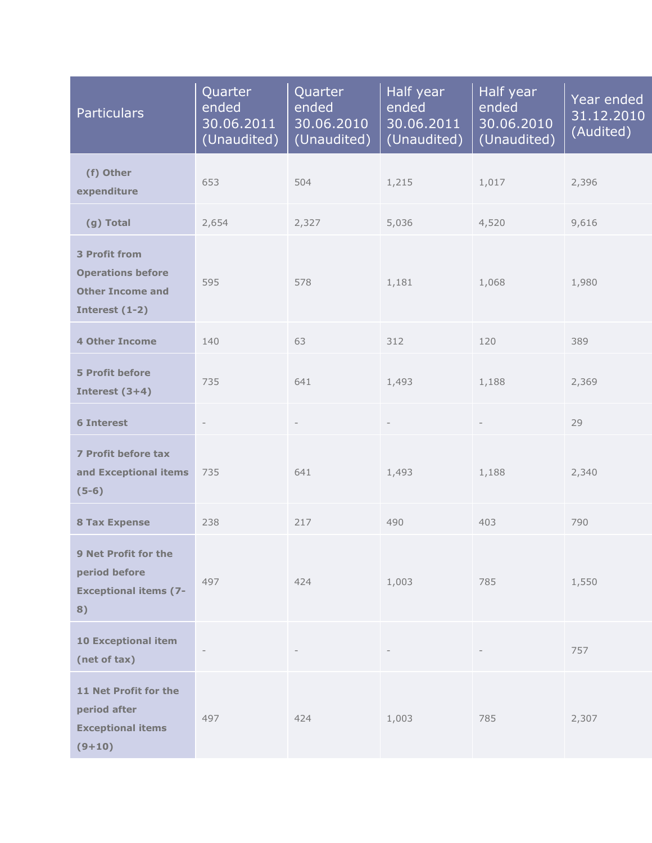| <b>Particulars</b>                                                                            | Quarter<br>ended<br>30.06.2011<br>(Unaudited) | Quarter<br>ended<br>30.06.2010<br>(Unaudited) | Half year<br>ended<br>30.06.2011<br>(Unaudited) | Half year<br>ended<br>30.06.2010<br>(Unaudited) | Year ended<br>31.12.2010<br>(Audited) |
|-----------------------------------------------------------------------------------------------|-----------------------------------------------|-----------------------------------------------|-------------------------------------------------|-------------------------------------------------|---------------------------------------|
| (f) Other<br>expenditure                                                                      | 653                                           | 504                                           | 1,215                                           | 1,017                                           | 2,396                                 |
| (g) Total                                                                                     | 2,654                                         | 2,327                                         | 5,036                                           | 4,520                                           | 9,616                                 |
| <b>3 Profit from</b><br><b>Operations before</b><br><b>Other Income and</b><br>Interest (1-2) | 595                                           | 578                                           | 1,181                                           | 1,068                                           | 1,980                                 |
| <b>4 Other Income</b>                                                                         | 140                                           | 63                                            | 312                                             | 120                                             | 389                                   |
| <b>5 Profit before</b><br>Interest $(3+4)$                                                    | 735                                           | 641                                           | 1,493                                           | 1,188                                           | 2,369                                 |
| <b>6 Interest</b>                                                                             | $\overline{\phantom{a}}$                      | $\overline{\phantom{a}}$                      | $\overline{\phantom{a}}$                        | $\overline{\phantom{a}}$                        | 29                                    |
| 7 Profit before tax<br>and Exceptional items<br>$(5-6)$                                       | 735                                           | 641                                           | 1,493                                           | 1,188                                           | 2,340                                 |
| <b>8 Tax Expense</b>                                                                          | 238                                           | 217                                           | 490                                             | 403                                             | 790                                   |
| 9 Net Profit for the<br>period before<br><b>Exceptional items (7-</b><br>8)                   | 497                                           | 424                                           | 1,003                                           | 785                                             | 1,550                                 |
| <b>10 Exceptional item</b><br>(net of tax)                                                    | $\overline{\phantom{a}}$                      |                                               |                                                 |                                                 | 757                                   |
| 11 Net Profit for the<br>period after<br><b>Exceptional items</b><br>$(9+10)$                 | 497                                           | 424                                           | 1,003                                           | 785                                             | 2,307                                 |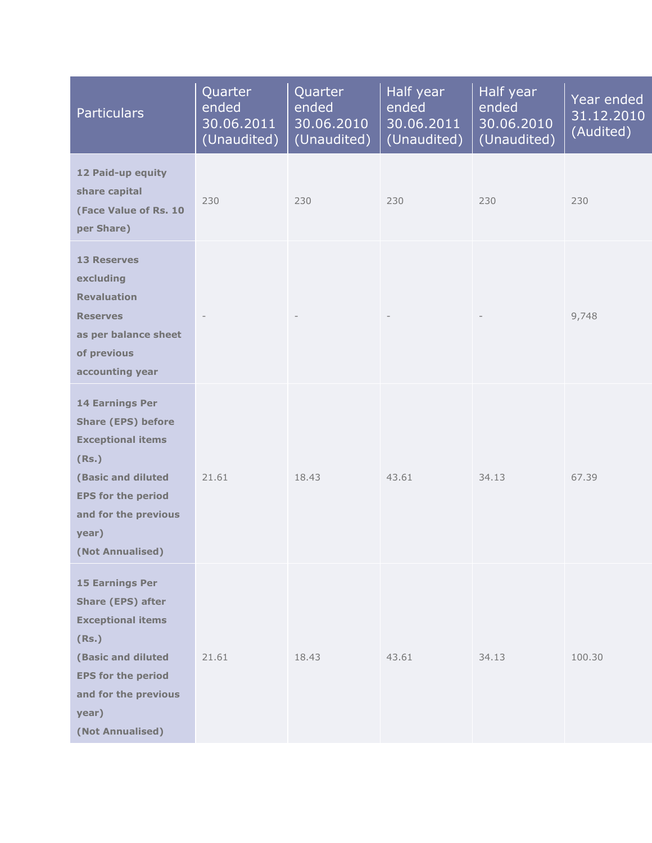| <b>Particulars</b>                                                                                                                                                                               | Quarter<br>ended<br>30.06.2011<br>(Unaudited) | Quarter<br>ended<br>30.06.2010<br>(Unaudited) | Half year<br>ended<br>30.06.2011<br>(Unaudited) | Half year<br>ended<br>30.06.2010<br>(Unaudited) | Year ended<br>31.12.2010<br>(Audited) |
|--------------------------------------------------------------------------------------------------------------------------------------------------------------------------------------------------|-----------------------------------------------|-----------------------------------------------|-------------------------------------------------|-------------------------------------------------|---------------------------------------|
| 12 Paid-up equity<br>share capital<br>(Face Value of Rs. 10<br>per Share)                                                                                                                        | 230                                           | 230                                           | 230                                             | 230                                             | 230                                   |
| <b>13 Reserves</b><br>excluding<br><b>Revaluation</b><br><b>Reserves</b><br>as per balance sheet<br>of previous<br>accounting year                                                               |                                               |                                               |                                                 |                                                 | 9,748                                 |
| <b>14 Earnings Per</b><br><b>Share (EPS) before</b><br><b>Exceptional items</b><br>(Rs.)<br>(Basic and diluted<br><b>EPS for the period</b><br>and for the previous<br>year)<br>(Not Annualised) | 21.61                                         | 18.43                                         | 43.61                                           | 34.13                                           | 67.39                                 |
| <b>15 Earnings Per</b><br><b>Share (EPS) after</b><br><b>Exceptional items</b><br>(Rs.)<br>(Basic and diluted<br><b>EPS for the period</b><br>and for the previous<br>year)<br>(Not Annualised)  | 21.61                                         | 18.43                                         | 43.61                                           | 34.13                                           | 100.30                                |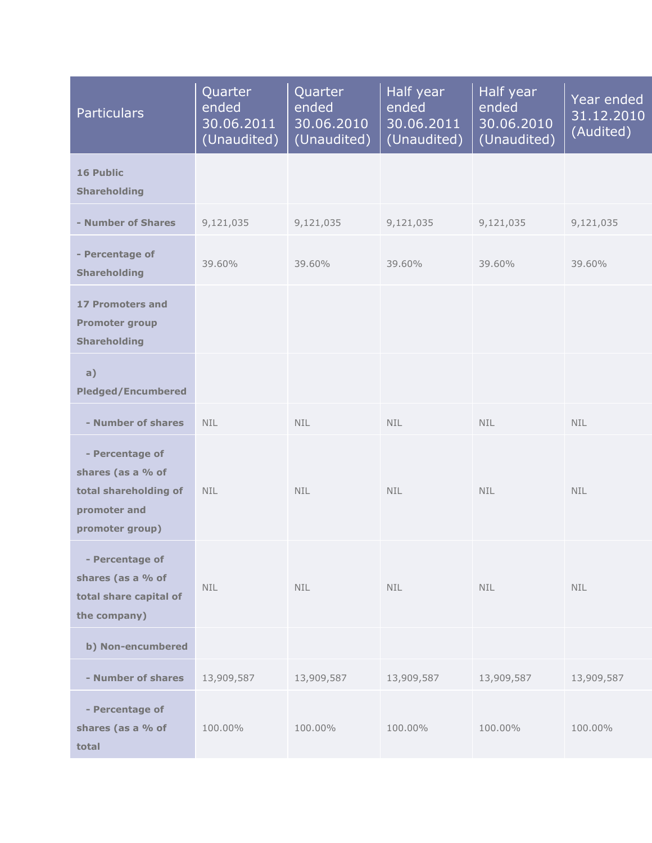| <b>Particulars</b>                                                                               | Quarter<br>ended<br>30.06.2011<br>(Unaudited) | Quarter<br>ended<br>30.06.2010<br>(Unaudited) | Half year<br>ended<br>30.06.2011<br>(Unaudited) | Half year<br>ended<br>30.06.2010<br>(Unaudited) | Year ended<br>31.12.2010<br>(Audited) |
|--------------------------------------------------------------------------------------------------|-----------------------------------------------|-----------------------------------------------|-------------------------------------------------|-------------------------------------------------|---------------------------------------|
| <b>16 Public</b><br><b>Shareholding</b>                                                          |                                               |                                               |                                                 |                                                 |                                       |
| - Number of Shares                                                                               | 9,121,035                                     | 9,121,035                                     | 9,121,035                                       | 9,121,035                                       | 9,121,035                             |
| - Percentage of<br><b>Shareholding</b>                                                           | 39.60%                                        | 39.60%                                        | 39.60%                                          | 39.60%                                          | 39.60%                                |
| <b>17 Promoters and</b><br><b>Promoter group</b><br><b>Shareholding</b>                          |                                               |                                               |                                                 |                                                 |                                       |
| a)<br><b>Pledged/Encumbered</b>                                                                  |                                               |                                               |                                                 |                                                 |                                       |
| - Number of shares                                                                               | <b>NIL</b>                                    | <b>NIL</b>                                    | <b>NIL</b>                                      | <b>NIL</b>                                      | <b>NIL</b>                            |
| - Percentage of<br>shares (as a % of<br>total shareholding of<br>promoter and<br>promoter group) | <b>NIL</b>                                    | <b>NIL</b>                                    | <b>NIL</b>                                      | NIL.                                            | <b>NIL</b>                            |
| - Percentage of<br>shares (as a % of<br>total share capital of<br>the company)                   | <b>NIL</b>                                    | <b>NIL</b>                                    | <b>NIL</b>                                      | <b>NIL</b>                                      | <b>NIL</b>                            |
| b) Non-encumbered                                                                                |                                               |                                               |                                                 |                                                 |                                       |
| - Number of shares                                                                               | 13,909,587                                    | 13,909,587                                    | 13,909,587                                      | 13,909,587                                      | 13,909,587                            |
| - Percentage of<br>shares (as a % of<br>total                                                    | 100.00%                                       | 100.00%                                       | 100.00%                                         | 100.00%                                         | 100.00%                               |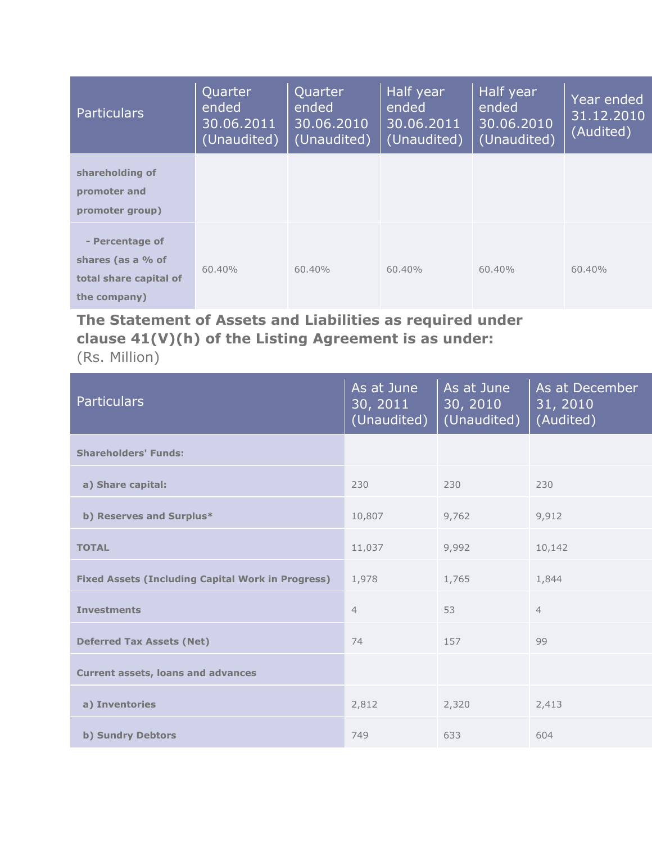| <b>Particulars</b>                                                             | Quarter<br>ended<br>30.06.2011<br>(Unaudited) | Quarter<br>ended<br>30.06.2010<br>(Unaudited) | Half year<br>ended<br>30.06.2011<br>(Unaudited) | Half year<br>ended<br>30.06.2010<br>(Unaudited) | Year ended<br>31.12.2010<br>(Audited) |
|--------------------------------------------------------------------------------|-----------------------------------------------|-----------------------------------------------|-------------------------------------------------|-------------------------------------------------|---------------------------------------|
| shareholding of<br>promoter and<br>promoter group)                             |                                               |                                               |                                                 |                                                 |                                       |
| - Percentage of<br>shares (as a % of<br>total share capital of<br>the company) | $60.40\%$                                     | $60.40\%$                                     | 60.40%                                          | $60.40\%$                                       | 60.40%                                |

# **The Statement of Assets and Liabilities as required under clause 41(V)(h) of the Listing Agreement is as under:**

(Rs. Million)

| <b>Particulars</b>                                       | As at June<br>30, 2011<br>(Unaudited) | As at June<br>30, 2010<br>(Unaudited) | As at December<br>31, 2010<br>(Audited) |
|----------------------------------------------------------|---------------------------------------|---------------------------------------|-----------------------------------------|
| <b>Shareholders' Funds:</b>                              |                                       |                                       |                                         |
| a) Share capital:                                        | 230                                   | 230                                   | 230                                     |
| b) Reserves and Surplus*                                 | 10,807                                | 9,762                                 | 9,912                                   |
| <b>TOTAL</b>                                             | 11,037                                | 9,992                                 | 10,142                                  |
| <b>Fixed Assets (Including Capital Work in Progress)</b> | 1,978                                 | 1,765                                 | 1,844                                   |
| <b>Investments</b>                                       | $\overline{4}$                        | 53                                    | $\overline{4}$                          |
| <b>Deferred Tax Assets (Net)</b>                         | 74                                    | 157                                   | 99                                      |
| <b>Current assets, loans and advances</b>                |                                       |                                       |                                         |
| a) Inventories                                           | 2,812                                 | 2,320                                 | 2,413                                   |
| <b>b) Sundry Debtors</b>                                 | 749                                   | 633                                   | 604                                     |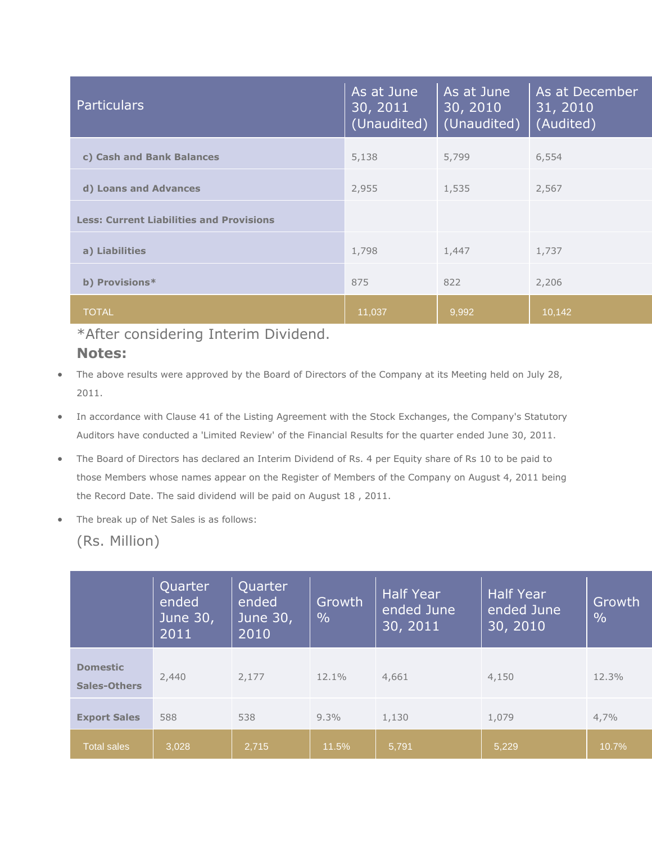| <b>Particulars</b>                              | As at June<br>30, 2011<br>(Unaudited) | As at June<br>30, 2010<br>(Unaudited) | As at December<br>31, 2010<br>(Audited) |
|-------------------------------------------------|---------------------------------------|---------------------------------------|-----------------------------------------|
| c) Cash and Bank Balances                       | 5,138                                 | 5,799                                 | 6,554                                   |
| d) Loans and Advances                           | 2,955                                 | 1,535                                 | 2,567                                   |
| <b>Less: Current Liabilities and Provisions</b> |                                       |                                       |                                         |
| a) Liabilities                                  | 1,798                                 | 1,447                                 | 1,737                                   |
| b) Provisions*                                  | 875                                   | 822                                   | 2,206                                   |
| <b>TOTAL</b>                                    | 11,037                                | 9,992                                 | 10,142                                  |

#### \*After considering Interim Dividend.

- **Notes:**
- The above results were approved by the Board of Directors of the Company at its Meeting held on July 28, 2011.
- In accordance with Clause 41 of the Listing Agreement with the Stock Exchanges, the Company's Statutory Auditors have conducted a 'Limited Review' of the Financial Results for the quarter ended June 30, 2011.
- The Board of Directors has declared an Interim Dividend of Rs. 4 per Equity share of Rs 10 to be paid to those Members whose names appear on the Register of Members of the Company on August 4, 2011 being the Record Date. The said dividend will be paid on August 18 , 2011.
- The break up of Net Sales is as follows:

#### (Rs. Million)

|                                        | Quarter<br>ended<br>June 30,<br>2011 | Quarter<br>ended<br>June 30,<br>2010 | Growth<br>$\frac{0}{0}$ | <b>Half Year</b><br>ended June<br>30, 2011 | <b>Half Year</b><br>ended June<br>30, 2010 | Growth<br>$\frac{0}{0}$ |
|----------------------------------------|--------------------------------------|--------------------------------------|-------------------------|--------------------------------------------|--------------------------------------------|-------------------------|
| <b>Domestic</b><br><b>Sales-Others</b> | 2,440                                | 2.177                                | 12.1%                   | 4,661                                      | 4,150                                      | 12.3%                   |
| <b>Export Sales</b>                    | 588                                  | 538                                  | $9.3\%$                 | 1,130                                      | 1,079                                      | 4,7%                    |
| <b>Total sales</b>                     | 3.028                                | 2,715                                | 11.5%                   | 5,791                                      | 5,229                                      | 10.7%                   |